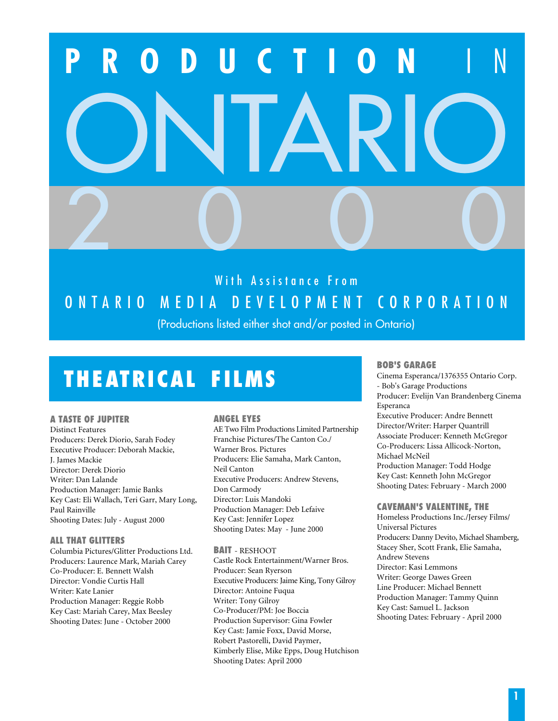# **PRODUCTION** I N ONTARIO 2000

# With Assistance From ONTARIO MEDIA DEVELOPMENT CORPORATION

(Productions listed either shot and/or posted in Ontario)

# **THEATRICAL FILMS**

#### **A TASTE OF JUPITER**

Distinct Features Producers: Derek Diorio, Sarah Fodey Executive Producer: Deborah Mackie, J. James Mackie Director: Derek Diorio Writer: Dan Lalande Production Manager: Jamie Banks Key Cast: Eli Wallach, Teri Garr, Mary Long, Paul Rainville Shooting Dates: July - August 2000

# **ALL THAT GLITTERS**

Columbia Pictures/Glitter Productions Ltd. Producers: Laurence Mark, Mariah Carey Co-Producer: E. Bennett Walsh Director: Vondie Curtis Hall Writer: Kate Lanier Production Manager: Reggie Robb Key Cast: Mariah Carey, Max Beesley Shooting Dates: June - October 2000

# **ANGEL EYES**

AE Two Film Productions Limited Partnership Franchise Pictures/The Canton Co./ Warner Bros. Pictures Producers: Elie Samaha, Mark Canton, Neil Canton Executive Producers: Andrew Stevens, Don Carmody Director: Luis Mandoki Production Manager: Deb Lefaive Key Cast: Jennifer Lopez Shooting Dates: May - June 2000

#### **BAIT** - RESHOOT

Castle Rock Entertainment/Warner Bros. Producer: Sean Ryerson Executive Producers: Jaime King, Tony Gilroy Director: Antoine Fuqua Writer: Tony Gilroy Co-Producer/PM: Joe Boccia Production Supervisor: Gina Fowler Key Cast: Jamie Foxx, David Morse, Robert Pastorelli, David Paymer, Kimberly Elise, Mike Epps, Doug Hutchison Shooting Dates: April 2000

# **BOB'S GARAGE**

Cinema Esperanca/1376355 Ontario Corp. - Bob's Garage Productions Producer: Evelijn Van Brandenberg Cinema Esperanca Executive Producer: Andre Bennett Director/Writer: Harper Quantrill Associate Producer: Kenneth McGregor Co-Producers: Lissa Allicock-Norton, Michael McNeil Production Manager: Todd Hodge Key Cast: Kenneth John McGregor Shooting Dates: February - March 2000

#### **CAVEMAN'S VALENTINE, THE**

Homeless Productions Inc./Jersey Films/ Universal Pictures Producers: Danny Devito, Michael Shamberg, Stacey Sher, Scott Frank, Elie Samaha, Andrew Stevens Director: Kasi Lemmons Writer: George Dawes Green Line Producer: Michael Bennett Production Manager: Tammy Quinn Key Cast: Samuel L. Jackson Shooting Dates: February - April 2000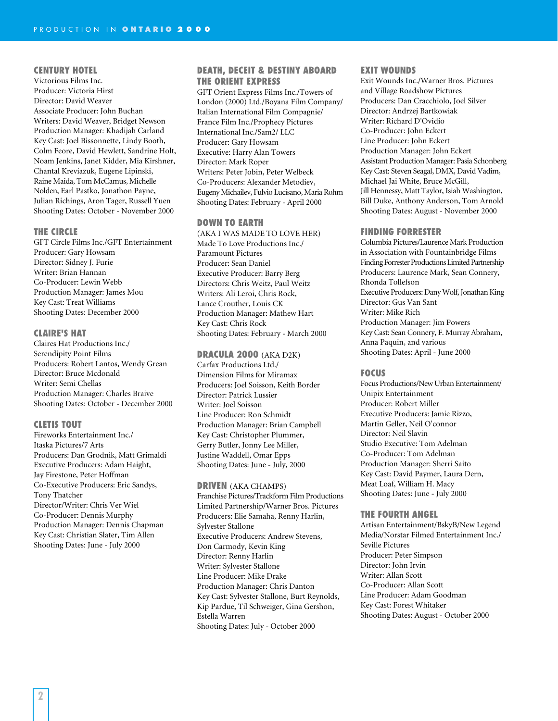#### **CENTURY HOTEL**

Victorious Films Inc. Producer: Victoria Hirst Director: David Weaver Associate Producer: John Buchan Writers: David Weaver, Bridget Newson Production Manager: Khadijah Carland Key Cast: Joel Bissonnette, Lindy Booth, Colm Feore, David Hewlett, Sandrine Holt, Noam Jenkins, Janet Kidder, Mia Kirshner, Chantal Kreviazuk, Eugene Lipinski, Raine Maida, Tom McCamus, Michelle Nolden, Earl Pastko, Jonathon Payne, Julian Richings, Aron Tager, Russell Yuen Shooting Dates: October - November 2000

#### **THE CIRCLE**

GFT Circle Films Inc./GFT Entertainment Producer: Gary Howsam Director: Sidney J. Furie Writer: Brian Hannan Co-Producer: Lewin Webb Production Manager: James Mou Key Cast: Treat Williams Shooting Dates: December 2000

#### **CLAIRE'S HAT**

Claires Hat Productions Inc./ Serendipity Point Films Producers: Robert Lantos, Wendy Grean Director: Bruce Mcdonald Writer: Semi Chellas Production Manager: Charles Braive Shooting Dates: October - December 2000

#### **CLETIS TOUT**

Fireworks Entertainment Inc./ Itaska Pictures/7 Arts Producers: Dan Grodnik, Matt Grimaldi Executive Producers: Adam Haight, Jay Firestone, Peter Hoffman Co-Executive Producers: Eric Sandys, Tony Thatcher Director/Writer: Chris Ver Wiel Co-Producer: Dennis Murphy Production Manager: Dennis Chapman Key Cast: Christian Slater, Tim Allen Shooting Dates: June - July 2000

#### **DEATH, DECEIT & DESTINY ABOARD THE ORIENT EXPRESS**

GFT Orient Express Films Inc./Towers of London (2000) Ltd./Boyana Film Company/ Italian International Film Compagnie/ France Film Inc./Prophecy Pictures International Inc./Sam2/ LLC Producer: Gary Howsam Executive: Harry Alan Towers Director: Mark Roper Writers: Peter Jobin, Peter Welbeck Co-Producers: Alexander Metodiev, Eugeny Michailev, Fulvio Lucisano, Maria Rohm Shooting Dates: February - April 2000

#### **DOWN TO EARTH**

(AKA I WAS MADE TO LOVE HER) Made To Love Productions Inc./ Paramount Pictures Producer: Sean Daniel Executive Producer: Barry Berg Directors: Chris Weitz, Paul Weitz Writers: Ali Leroi, Chris Rock, Lance Crouther, Louis CK Production Manager: Mathew Hart Key Cast: Chris Rock Shooting Dates: February - March 2000

#### **DRACULA 2000** (AKA D2K)

Carfax Productions Ltd./ Dimension Films for Miramax Producers: Joel Soisson, Keith Border Director: Patrick Lussier Writer: Joel Soisson Line Producer: Ron Schmidt Production Manager: Brian Campbell Key Cast: Christopher Plummer, Gerry Butler, Jonny Lee Miller, Justine Waddell, Omar Epps Shooting Dates: June - July, 2000

#### **DRIVEN** (AKA CHAMPS)

Franchise Pictures/Trackform Film Productions Limited Partnership/Warner Bros. Pictures Producers: Elie Samaha, Renny Harlin, Sylvester Stallone Executive Producers: Andrew Stevens, Don Carmody, Kevin King Director: Renny Harlin Writer: Sylvester Stallone Line Producer: Mike Drake Production Manager: Chris Danton Key Cast: Sylvester Stallone, Burt Reynolds, Kip Pardue, Til Schweiger, Gina Gershon, Estella Warren Shooting Dates: July - October 2000

#### **EXIT WOUNDS**

Exit Wounds Inc./Warner Bros. Pictures and Village Roadshow Pictures Producers: Dan Cracchiolo, Joel Silver Director: Andrzej Bartkowiak Writer: Richard D'Ovidio Co-Producer: John Eckert Line Producer: John Eckert Production Manager: John Eckert Assistant Production Manager: Pasia Schonberg Key Cast: Steven Seagal, DMX, David Vadim, Michael Jai White, Bruce McGill, Jill Hennessy, Matt Taylor, Isiah Washington, Bill Duke, Anthony Anderson, Tom Arnold Shooting Dates: August - November 2000

#### **FINDING FORRESTER**

Columbia Pictures/Laurence Mark Production in Association with Fountainbridge Films Finding Forrester Productions Limited Partnership Producers: Laurence Mark, Sean Connery, Rhonda Tollefson Executive Producers: Dany Wolf, Jonathan King Director: Gus Van Sant Writer: Mike Rich Production Manager: Jim Powers Key Cast: Sean Connery, F. Murray Abraham, Anna Paquin, and various Shooting Dates: April - June 2000

#### **FOCUS**

Focus Productions/New Urban Entertainment/ Unipix Entertainment Producer: Robert Miller Executive Producers: Jamie Rizzo, Martin Geller, Neil O'connor Director: Neil Slavin Studio Executive: Tom Adelman Co-Producer: Tom Adelman Production Manager: Sherri Saito Key Cast: David Paymer, Laura Dern, Meat Loaf, William H. Macy Shooting Dates: June - July 2000

#### **THE FOURTH ANGEL**

Artisan Entertainment/BskyB/New Legend Media/Norstar Filmed Entertainment Inc./ Seville Pictures Producer: Peter Simpson Director: John Irvin Writer: Allan Scott Co-Producer: Allan Scott Line Producer: Adam Goodman Key Cast: Forest Whitaker Shooting Dates: August - October 2000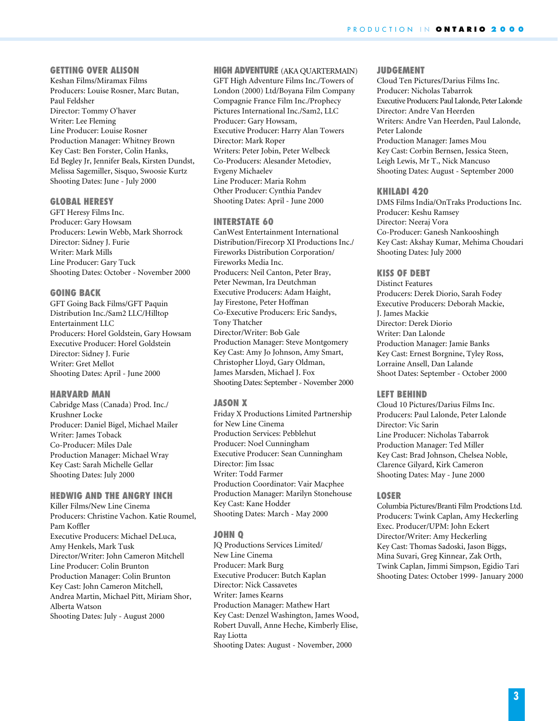#### **GETTING OVER ALISON**

Keshan Films/Miramax Films Producers: Louise Rosner, Marc Butan, Paul Feldsher Director: Tommy O'haver Writer: Lee Fleming Line Producer: Louise Rosner Production Manager: Whitney Brown Key Cast: Ben Forster, Colin Hanks, Ed Begley Jr, Jennifer Beals, Kirsten Dundst, Melissa Sagemiller, Sisquo, Swoosie Kurtz Shooting Dates: June - July 2000

#### **GLOBAL HERESY**

GFT Heresy Films Inc. Producer: Gary Howsam Producers: Lewin Webb, Mark Shorrock Director: Sidney J. Furie Writer: Mark Mills Line Producer: Gary Tuck Shooting Dates: October - November 2000

#### **GOING BACK**

GFT Going Back Films/GFT Paquin Distribution Inc./Sam2 LLC/Hilltop Entertainment LLC Producers: Horel Goldstein, Gary Howsam Executive Producer: Horel Goldstein Director: Sidney J. Furie Writer: Gret Mellot Shooting Dates: April - June 2000

#### **HARVARD MAN**

Cabridge Mass (Canada) Prod. Inc./ Krushner Locke Producer: Daniel Bigel, Michael Mailer Writer: James Toback Co-Producer: Miles Dale Production Manager: Michael Wray Key Cast: Sarah Michelle Gellar Shooting Dates: July 2000

## **HEDWIG AND THE ANGRY INCH**

Killer Films/New Line Cinema Producers: Christine Vachon. Katie Roumel, Pam Koffler Executive Producers: Michael DeLuca, Amy Henkels, Mark Tusk Director/Writer: John Cameron Mitchell Line Producer: Colin Brunton Production Manager: Colin Brunton Key Cast: John Cameron Mitchell, Andrea Martin, Michael Pitt, Miriam Shor, Alberta Watson Shooting Dates: July - August 2000

#### **HIGH ADVENTURE** (AKA QUARTERMAIN)

GFT High Adventure Films Inc./Towers of London (2000) Ltd/Boyana Film Company Compagnie France Film Inc./Prophecy Pictures International Inc./Sam2, LLC Producer: Gary Howsam, Executive Producer: Harry Alan Towers Director: Mark Roper Writers: Peter Jobin, Peter Welbeck Co-Producers: Alesander Metodiev, Evgeny Michaelev Line Producer: Maria Rohm Other Producer: Cynthia Pandev Shooting Dates: April - June 2000

#### **INTERSTATE 60**

CanWest Entertainment International Distribution/Firecorp XI Productions Inc./ Fireworks Distribution Corporation/ Fireworks Media Inc. Producers: Neil Canton, Peter Bray, Peter Newman, Ira Deutchman Executive Producers: Adam Haight, Jay Firestone, Peter Hoffman Co-Executive Producers: Eric Sandys, Tony Thatcher Director/Writer: Bob Gale Production Manager: Steve Montgomery Key Cast: Amy Jo Johnson, Amy Smart, Christopher Lloyd, Gary Oldman, James Marsden, Michael J. Fox Shooting Dates: September - November 2000

#### **JASON X**

Friday X Productions Limited Partnership for New Line Cinema Production Services: Pebblehut Producer: Noel Cunningham Executive Producer: Sean Cunningham Director: Jim Issac Writer: Todd Farmer Production Coordinator: Vair Macphee Production Manager: Marilyn Stonehouse Key Cast: Kane Hodder Shooting Dates: March - May 2000

#### **JOHN Q**

JQ Productions Services Limited/ New Line Cinema Producer: Mark Burg Executive Producer: Butch Kaplan Director: Nick Cassavetes Writer: James Kearns Production Manager: Mathew Hart Key Cast: Denzel Washington, James Wood, Robert Duvall, Anne Heche, Kimberly Elise, Ray Liotta Shooting Dates: August - November, 2000

#### **JUDGEMENT**

Cloud Ten Pictures/Darius Films Inc. Producer: Nicholas Tabarrok Executive Producers: Paul Lalonde, Peter Lalonde Director: Andre Van Heerden Writers: Andre Van Heerden, Paul Lalonde, Peter Lalonde Production Manager: James Mou Key Cast: Corbin Bernsen, Jessica Steen, Leigh Lewis, Mr T., Nick Mancuso Shooting Dates: August - September 2000

#### **KHILADI 420**

DMS Films India/OnTraks Productions Inc. Producer: Keshu Ramsey Director: Neeraj Vora Co-Producer: Ganesh Nankooshingh Key Cast: Akshay Kumar, Mehima Choudari Shooting Dates: July 2000

#### **KISS OF DEBT**

Distinct Features Producers: Derek Diorio, Sarah Fodey Executive Producers: Deborah Mackie, J. James Mackie Director: Derek Diorio Writer: Dan Lalonde Production Manager: Jamie Banks Key Cast: Ernest Borgnine, Tyley Ross, Lorraine Ansell, Dan Lalande Shoot Dates: September - October 2000

#### **LEFT BEHIND**

Cloud 10 Pictures/Darius Films Inc. Producers: Paul Lalonde, Peter Lalonde Director: Vic Sarin Line Producer: Nicholas Tabarrok Production Manager: Ted Miller Key Cast: Brad Johnson, Chelsea Noble, Clarence Gilyard, Kirk Cameron Shooting Dates: May - June 2000

#### **LOSER**

Columbia Pictures/Branti Film Prodctions Ltd. Producers: Twink Caplan, Amy Heckerling Exec. Producer/UPM: John Eckert Director/Writer: Amy Heckerling Key Cast: Thomas Sadoski, Jason Biggs, Mina Suvari, Greg Kinnear, Zak Orth, Twink Caplan, Jimmi Simpson, Egidio Tari Shooting Dates: October 1999- January 2000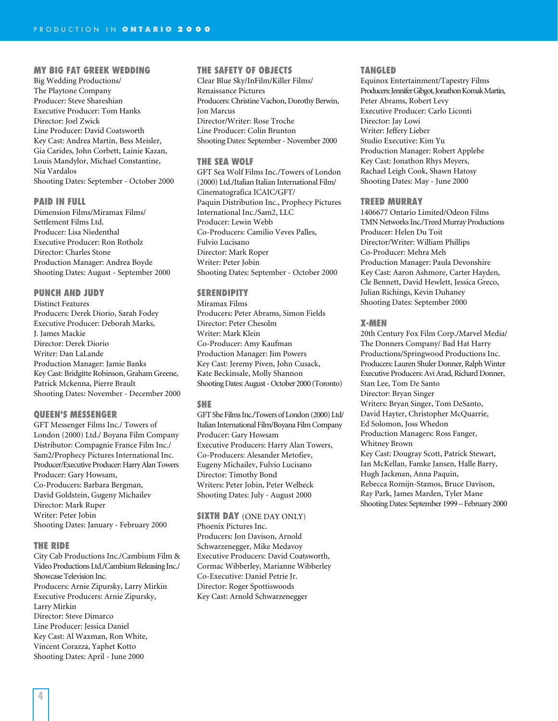#### **MY BIG FAT GREEK WEDDING**

Big Wedding Productions/ The Playtone Company Producer: Steve Shareshian Executive Producer: Tom Hanks Director: Joel Zwick Line Producer: David Coatsworth Key Cast: Andrea Martin, Bess Meisler, Gia Carides, John Corbett, Lainie Kazan, Louis Mandylor, Michael Constantine, Nia Vardalos Shooting Dates: September - October 2000

#### **PAID IN FULL**

Dimension Films/Miramax Films/ Settlement Films Ltd. Producer: Lisa Niedenthal Executive Producer: Ron Rotholz Director: Charles Stone Production Manager: Andrea Boyde Shooting Dates: August - September 2000

#### **PUNCH AND JUDY**

Distinct Features Producers: Derek Diorio, Sarah Fodey Executive Producer: Deborah Marks, J. James Mackie Director: Derek Diorio Writer: Dan LaLande Production Manager: Jamie Banks Key Cast: Bridgitte Robinson, Graham Greene, Patrick Mckenna, Pierre Brault Shooting Dates: November - December 2000

#### **QUEEN'S MESSENGER**

GFT Messenger Films Inc./ Towers of London (2000) Ltd./ Boyana Film Company Distributor: Compagnie France Film Inc./ Sam2/Prophecy Pictures International Inc. Producer/Executive Producer: Harry Alan Towers Producer: Gary Howsam, Co-Producers: Barbara Bergman, David Goldstein, Gugeny Michailev Director: Mark Ruper Writer: Peter Jobin Shooting Dates: January - February 2000

#### **THE RIDE**

City Cab Productions Inc./Cambium Film & Video Productions Ltd./Cambium Releasing Inc./ Showcase Television Inc. Producers: Arnie Zipursky, Larry Mirkin Executive Producers: Arnie Zipursky, Larry Mirkin Director: Steve Dimarco Line Producer: Jessica Daniel Key Cast: Al Waxman, Ron White, Vincent Corazza, Yaphet Kotto Shooting Dates: April - June 2000

#### **THE SAFETY OF OBJECTS**

Clear Blue Sky/InFilm/Killer Films/ Renaissance Pictures Producers: Christine Vachon, Dorothy Berwin, Jon Marcus Director/Writer: Rose Troche Line Producer: Colin Brunton Shooting Dates: September - November 2000

#### **THE SEA WOLF**

GFT Sea Wolf Films Inc./Towers of London (2000) Ltd./Italian Italian International Film/ Cinematografica ICAIC/GFT/ Paquin Distribution Inc., Prophecy Pictures International Inc./Sam2, LLC Producer: Lewin Webb Co-Producers: Camilio Veves Palles, Fulvio Lucisano Director: Mark Roper Writer: Peter Jobin Shooting Dates: September - October 2000

#### **SERENDIPITY**

Miramax Films Producers: Peter Abrams, Simon Fields Director: Peter Chesolm Writer: Mark Klein Co-Producer: Amy Kaufman Production Manager: Jim Powers Key Cast: Jeremy Piven, John Cusack, Kate Beckinsale, Molly Shannon Shooting Dates: August - October 2000 (Toronto)

#### **SHE**

GFT She Films Inc./Towers of London (2000) Ltd/ Italian International Film/Boyana Film Company Producer: Gary Howsam Executive Producers: Harry Alan Towers, Co-Producers: Alesander Metofiev, Eugeny Michailev, Fulvio Lucisano Director: Timothy Bond Writers: Peter Jobin, Peter Welbeck Shooting Dates: July - August 2000

#### **SIXTH DAY** (ONE DAY ONLY)

Phoenix Pictures Inc. Producers: Jon Davison, Arnold Schwarzenegger, Mike Medavoy Executive Producers: David Coatsworth, Cormac Wibberley, Marianne Wibberley Co-Executive: Daniel Petrie Jr. Director: Roger Spottiswoods Key Cast: Arnold Schwarzenegger

#### **TANGLED**

Equinox Entertainment/Tapestry Films Producers: Jennifer Gibgot, Jonathon Komak Martin, Peter Abrams, Robert Levy Executive Producer: Carlo Liconti Director: Jay Lowi Writer: Jeffery Lieber Studio Executive: Kim Yu Production Manager: Robert Applebe Key Cast: Jonathon Rhys Meyers, Rachael Leigh Cook, Shawn Hatosy Shooting Dates: May - June 2000

#### **TREED MURRAY**

1406677 Ontario Limited/Odeon Films TMN Networks Inc./Treed Murray Productions Producer: Helen Du Toit Director/Writer: William Phillips Co-Producer: Mehra Meh Production Manager: Paula Devonshire Key Cast: Aaron Ashmore, Carter Hayden, Cle Bennett, David Hewlett, Jessica Greco, Julian Richings, Kevin Duhaney Shooting Dates: September 2000

#### **X-MEN**

20th Century Fox Film Corp./Marvel Media/ The Donners Company/ Bad Hat Harry Productions/Springwood Productions Inc. Producers: Lauren Shuler Donner, Ralph Winter Executive Producers: Avi Arad, Richard Donner, Stan Lee, Tom De Santo Director: Bryan Singer Writers: Bryan Singer, Tom DeSanto, David Hayter, Christopher McQuarrie, Ed Solomon, Joss Whedon Production Managers: Ross Fanger, Whitney Brown Key Cast: Dougray Scott, Patrick Stewart, Ian McKellan, Famke Jansen, Halle Barry, Hugh Jackman, Anna Paquin, Rebecca Romijn-Stamos, Bruce Davison, Ray Park, James Marden, Tyler Mane Shooting Dates: September 1999 – February 2000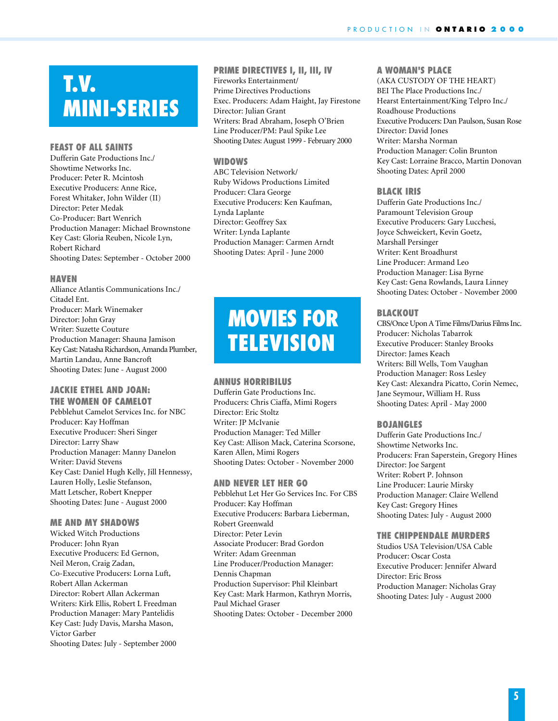# **T.V. MINI-SERIES**

#### **FEAST OF ALL SAINTS**

Dufferin Gate Productions Inc./ Showtime Networks Inc. Producer: Peter R. Mcintosh Executive Producers: Anne Rice, Forest Whitaker, John Wilder (II) Director: Peter Medak Co-Producer: Bart Wenrich Production Manager: Michael Brownstone Key Cast: Gloria Reuben, Nicole Lyn, Robert Richard Shooting Dates: September - October 2000

#### **HAVEN**

Alliance Atlantis Communications Inc./ Citadel Ent. Producer: Mark Winemaker Director: John Gray Writer: Suzette Couture Production Manager: Shauna Jamison Key Cast: Natasha Richardson, Amanda Plumber, Martin Landau, Anne Bancroft Shooting Dates: June - August 2000

#### **JACKIE ETHEL AND JOAN: THE WOMEN OF CAMELOT**

Pebblehut Camelot Services Inc. for NBC Producer: Kay Hoffman Executive Producer: Sheri Singer Director: Larry Shaw Production Manager: Manny Danelon Writer: David Stevens Key Cast: Daniel Hugh Kelly, Jill Hennessy, Lauren Holly, Leslie Stefanson, Matt Letscher, Robert Knepper Shooting Dates: June - August 2000

#### **ME AND MY SHADOWS**

Wicked Witch Productions Producer: John Ryan Executive Producers: Ed Gernon, Neil Meron, Craig Zadan, Co-Executive Producers: Lorna Luft, Robert Allan Ackerman Director: Robert Allan Ackerman Writers: Kirk Ellis, Robert L Freedman Production Manager: Mary Pantelidis Key Cast: Judy Davis, Marsha Mason, Victor Garber Shooting Dates: July - September 2000

# **PRIME DIRECTIVES I, II, III, IV** Fireworks Entertainment/

Prime Directives Productions Exec. Producers: Adam Haight, Jay Firestone Director: Julian Grant Writers: Brad Abraham, Joseph O'Brien Line Producer/PM: Paul Spike Lee Shooting Dates: August 1999 - February 2000

#### **WIDOWS**

ABC Television Network/ Ruby Widows Productions Limited Producer: Clara George Executive Producers: Ken Kaufman, Lynda Laplante Director: Geoffrey Sax Writer: Lynda Laplante Production Manager: Carmen Arndt Shooting Dates: April - June 2000

# **MOVIES FOR TELEVISION**

#### **ANNUS HORRIBILUS**

Dufferin Gate Productions Inc. Producers: Chris Ciaffa, Mimi Rogers Director: Eric Stoltz Writer: JP McIvanie Production Manager: Ted Miller Key Cast: Allison Mack, Caterina Scorsone, Karen Allen, Mimi Rogers Shooting Dates: October - November 2000

#### **AND NEVER LET HER GO**

Pebblehut Let Her Go Services Inc. For CBS Producer: Kay Hoffman Executive Producers: Barbara Lieberman, Robert Greenwald Director: Peter Levin Associate Producer: Brad Gordon Writer: Adam Greenman Line Producer/Production Manager: Dennis Chapman Production Supervisor: Phil Kleinbart Key Cast: Mark Harmon, Kathryn Morris, Paul Michael Graser Shooting Dates: October - December 2000

#### **A WOMAN'S PLACE**

(AKA CUSTODY OF THE HEART) BEI The Place Productions Inc./ Hearst Entertainment/King Telpro Inc./ Roadhouse Productions Executive Producers: Dan Paulson, Susan Rose Director: David Jones Writer: Marsha Norman Production Manager: Colin Brunton Key Cast: Lorraine Bracco, Martin Donovan Shooting Dates: April 2000

#### **BLACK IRIS**

Dufferin Gate Productions Inc./ Paramount Television Group Executive Producers: Gary Lucchesi, Joyce Schweickert, Kevin Goetz, Marshall Persinger Writer: Kent Broadhurst Line Producer: Armand Leo Production Manager: Lisa Byrne Key Cast: Gena Rowlands, Laura Linney Shooting Dates: October - November 2000

#### **BLACKOUT**

CBS/Once Upon A Time Films/Darius Films Inc. Producer: Nicholas Tabarrok Executive Producer: Stanley Brooks Director: James Keach Writers: Bill Wells, Tom Vaughan Production Manager: Ross Lesley Key Cast: Alexandra Picatto, Corin Nemec, Jane Seymour, William H. Russ Shooting Dates: April - May 2000

#### **BOJANGLES**

Dufferin Gate Productions Inc./ Showtime Networks Inc. Producers: Fran Saperstein, Gregory Hines Director: Joe Sargent Writer: Robert P. Johnson Line Producer: Laurie Mirsky Production Manager: Claire Wellend Key Cast: Gregory Hines Shooting Dates: July - August 2000

#### **THE CHIPPENDALE MURDERS**

Studios USA Television/USA Cable Producer: Oscar Costa Executive Producer: Jennifer Alward Director: Eric Bross Production Manager: Nicholas Gray Shooting Dates: July - August 2000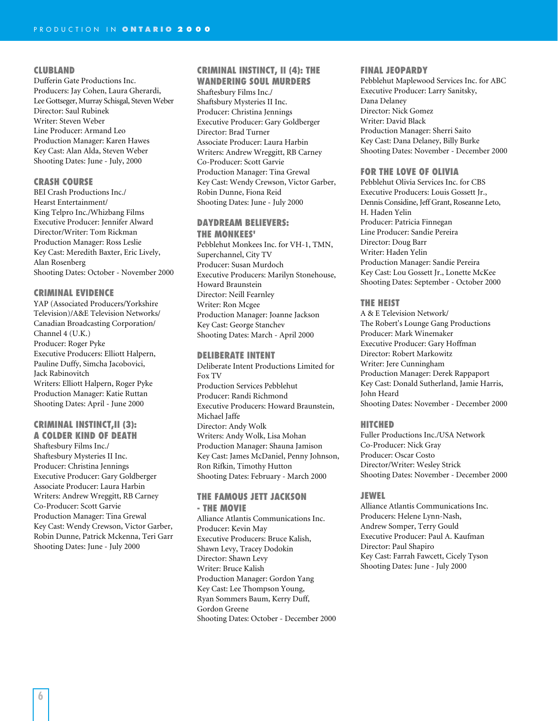#### **CLUBLAND**

Dufferin Gate Productions Inc. Producers: Jay Cohen, Laura Gherardi, Lee Gottseger, Murray Schisgal, Steven Weber Director: Saul Rubinek Writer: Steven Weber Line Producer: Armand Leo Production Manager: Karen Hawes Key Cast: Alan Alda, Steven Weber Shooting Dates: June - July, 2000

#### **CRASH COURSE**

BEI Crash Productions Inc./ Hearst Entertainment/ King Telpro Inc./Whizbang Films Executive Producer: Jennifer Alward Director/Writer: Tom Rickman Production Manager: Ross Leslie Key Cast: Meredith Baxter, Eric Lively, Alan Rosenberg Shooting Dates: October - November 2000

#### **CRIMINAL EVIDENCE**

YAP (Associated Producers/Yorkshire Television)/A&E Television Networks/ Canadian Broadcasting Corporation/ Channel 4 (U.K.) Producer: Roger Pyke Executive Producers: Elliott Halpern, Pauline Duffy, Simcha Jacobovici, Jack Rabinovitch Writers: Elliott Halpern, Roger Pyke Production Manager: Katie Ruttan Shooting Dates: April - June 2000

# **CRIMINAL INSTINCT,II (3):**

**A COLDER KIND OF DEATH** Shaftesbury Films Inc./ Shaftesbury Mysteries II Inc. Producer: Christina Jennings Executive Producer: Gary Goldberger Associate Producer: Laura Harbin Writers: Andrew Wreggitt, RB Carney Co-Producer: Scott Garvie Production Manager: Tina Grewal Key Cast: Wendy Crewson, Victor Garber, Robin Dunne, Patrick Mckenna, Teri Garr Shooting Dates: June - July 2000

#### **CRIMINAL INSTINCT, II (4): THE WANDERING SOUL MURDERS**

Shaftesbury Films Inc./ Shaftsbury Mysteries II Inc. Producer: Christina Jennings Executive Producer: Gary Goldberger Director: Brad Turner Associate Producer: Laura Harbin Writers: Andrew Wreggitt, RB Carney Co-Producer: Scott Garvie Production Manager: Tina Grewal Key Cast: Wendy Crewson, Victor Garber, Robin Dunne, Fiona Reid Shooting Dates: June - July 2000

#### **DAYDREAM BELIEVERS: THE MONKEES'**

Pebblehut Monkees Inc. for VH-1, TMN, Superchannel, City TV Producer: Susan Murdoch Executive Producers: Marilyn Stonehouse, Howard Braunstein Director: Neill Fearnley Writer: Ron Mcgee Production Manager: Joanne Jackson Key Cast: George Stanchev Shooting Dates: March - April 2000

#### **DELIBERATE INTENT**

Deliberate Intent Productions Limited for Fox TV Production Services Pebblehut Producer: Randi Richmond Executive Producers: Howard Braunstein, Michael Jaffe Director: Andy Wolk Writers: Andy Wolk, Lisa Mohan Production Manager: Shauna Jamison Key Cast: James McDaniel, Penny Johnson, Ron Rifkin, Timothy Hutton Shooting Dates: February - March 2000

#### **THE FAMOUS JETT JACKSON - THE MOVIE**

Alliance Atlantis Communications Inc. Producer: Kevin May Executive Producers: Bruce Kalish, Shawn Levy, Tracey Dodokin Director: Shawn Levy Writer: Bruce Kalish Production Manager: Gordon Yang Key Cast: Lee Thompson Young, Ryan Sommers Baum, Kerry Duff, Gordon Greene Shooting Dates: October - December 2000

#### **FINAL JEOPARDY**

Pebblehut Maplewood Services Inc. for ABC Executive Producer: Larry Sanitsky, Dana Delaney Director: Nick Gomez Writer: David Black Production Manager: Sherri Saito Key Cast: Dana Delaney, Billy Burke Shooting Dates: November - December 2000

#### **FOR THE LOVE OF OLIVIA**

Pebblehut Olivia Services Inc. for CBS Executive Producers: Louis Gossett Jr., Dennis Considine, Jeff Grant, Roseanne Leto, H. Haden Yelin Producer: Patricia Finnegan Line Producer: Sandie Pereira Director: Doug Barr Writer: Haden Yelin Production Manager: Sandie Pereira Key Cast: Lou Gossett Jr., Lonette McKee Shooting Dates: September - October 2000

#### **THE HEIST**

A & E Television Network/ The Robert's Lounge Gang Productions Producer: Mark Winemaker Executive Producer: Gary Hoffman Director: Robert Markowitz Writer: Jere Cunningham Production Manager: Derek Rappaport Key Cast: Donald Sutherland, Jamie Harris, John Heard Shooting Dates: November - December 2000

#### **HITCHED**

Fuller Productions Inc./USA Network Co-Producer: Nick Gray Producer: Oscar Costo Director/Writer: Wesley Strick Shooting Dates: November - December 2000

#### **JEWEL**

Alliance Atlantis Communications Inc. Producers: Helene Lynn-Nash, Andrew Somper, Terry Gould Executive Producer: Paul A. Kaufman Director: Paul Shapiro Key Cast: Farrah Fawcett, Cicely Tyson Shooting Dates: June - July 2000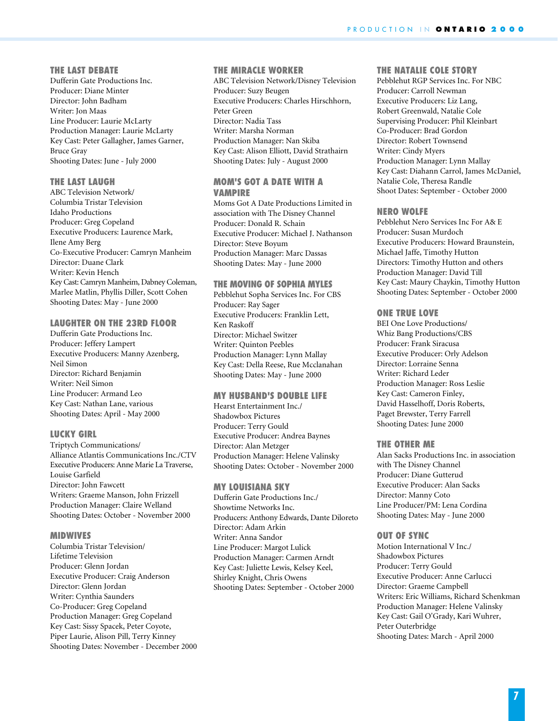#### **THE LAST DEBATE**

Dufferin Gate Productions Inc. Producer: Diane Minter Director: John Badham Writer: Jon Maas Line Producer: Laurie McLarty Production Manager: Laurie McLarty Key Cast: Peter Gallagher, James Garner, Bruce Gray Shooting Dates: June - July 2000

## **THE LAST LAUGH**

ABC Television Network/ Columbia Tristar Television Idaho Productions Producer: Greg Copeland Executive Producers: Laurence Mark, Ilene Amy Berg Co-Executive Producer: Camryn Manheim Director: Duane Clark Writer: Kevin Hench Key Cast: Camryn Manheim, Dabney Coleman, Marlee Matlin, Phyllis Diller, Scott Cohen Shooting Dates: May - June 2000

#### **LAUGHTER ON THE 23RD FLOOR**

Dufferin Gate Productions Inc. Producer: Jeffery Lampert Executive Producers: Manny Azenberg, Neil Simon Director: Richard Benjamin Writer: Neil Simon Line Producer: Armand Leo Key Cast: Nathan Lane, various Shooting Dates: April - May 2000

#### **LUCKY GIRL**

Triptych Communications/ Alliance Atlantis Communications Inc./CTV Executive Producers: Anne Marie La Traverse, Louise Garfield Director: John Fawcett Writers: Graeme Manson, John Frizzell Production Manager: Claire Welland Shooting Dates: October - November 2000

#### **MIDWIVES**

Columbia Tristar Television/ Lifetime Television Producer: Glenn Jordan Executive Producer: Craig Anderson Director: Glenn Jordan Writer: Cynthia Saunders Co-Producer: Greg Copeland Production Manager: Greg Copeland Key Cast: Sissy Spacek, Peter Coyote, Piper Laurie, Alison Pill, Terry Kinney Shooting Dates: November - December 2000

#### **THE MIRACLE WORKER**

ABC Television Network/Disney Television Producer: Suzy Beugen Executive Producers: Charles Hirschhorn, Peter Green Director: Nadia Tass Writer: Marsha Norman Production Manager: Nan Skiba Key Cast: Alison Elliott, David Strathairn Shooting Dates: July - August 2000

#### **MOM'S GOT A DATE WITH A VAMPIRE**

Moms Got A Date Productions Limited in association with The Disney Channel Producer: Donald R. Schain Executive Producer: Michael J. Nathanson Director: Steve Boyum Production Manager: Marc Dassas Shooting Dates: May - June 2000

#### **THE MOVING OF SOPHIA MYLES**

Pebblehut Sopha Services Inc. For CBS Producer: Ray Sager Executive Producers: Franklin Lett, Ken Raskoff Director: Michael Switzer Writer: Quinton Peebles Production Manager: Lynn Mallay Key Cast: Della Reese, Rue Mcclanahan Shooting Dates: May - June 2000

#### **MY HUSBAND'S DOUBLE LIFE**

Hearst Entertainment Inc./ Shadowbox Pictures Producer: Terry Gould Executive Producer: Andrea Baynes Director: Alan Metzger Production Manager: Helene Valinsky Shooting Dates: October - November 2000

#### **MY LOUISIANA SKY**

Dufferin Gate Productions Inc./ Showtime Networks Inc. Producers: Anthony Edwards, Dante Diloreto Director: Adam Arkin Writer: Anna Sandor Line Producer: Margot Lulick Production Manager: Carmen Arndt Key Cast: Juliette Lewis, Kelsey Keel, Shirley Knight, Chris Owens Shooting Dates: September - October 2000

#### **THE NATALIE COLE STORY**

Pebblehut RGP Services Inc. For NBC Producer: Carroll Newman Executive Producers: Liz Lang, Robert Greenwald, Natalie Cole Supervising Producer: Phil Kleinbart Co-Producer: Brad Gordon Director: Robert Townsend Writer: Cindy Myers Production Manager: Lynn Mallay Key Cast: Diahann Carrol, James McDaniel, Natalie Cole, Theresa Randle Shoot Dates: September - October 2000

#### **NERO WOLFE**

Pebblehut Nero Services Inc For A& E Producer: Susan Murdoch Executive Producers: Howard Braunstein, Michael Jaffe, Timothy Hutton Directors: Timothy Hutton and others Production Manager: David Till Key Cast: Maury Chaykin, Timothy Hutton Shooting Dates: September - October 2000

#### **ONE TRUE LOVE**

BEI One Love Productions/ Whiz Bang Productions/CBS Producer: Frank Siracusa Executive Producer: Orly Adelson Director: Lorraine Senna Writer: Richard Leder Production Manager: Ross Leslie Key Cast: Cameron Finley, David Hasselhoff, Doris Roberts, Paget Brewster, Terry Farrell Shooting Dates: June 2000

#### **THE OTHER ME**

Alan Sacks Productions Inc. in association with The Disney Channel Producer: Diane Gutterud Executive Producer: Alan Sacks Director: Manny Coto Line Producer/PM: Lena Cordina Shooting Dates: May - June 2000

#### **OUT OF SYNC**

Motion International V Inc./ Shadowbox Pictures Producer: Terry Gould Executive Producer: Anne Carlucci Director: Graeme Campbell Writers: Eric Williams, Richard Schenkman Production Manager: Helene Valinsky Key Cast: Gail O'Grady, Kari Wuhrer, Peter Outerbridge Shooting Dates: March - April 2000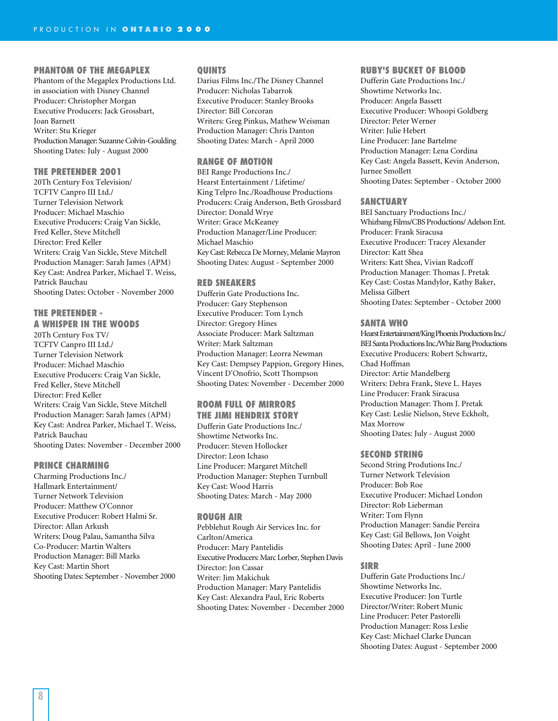#### **PHANTOM OF THE MEGAPLEX**

Phantom of the Megaplex Productions Ltd. in association with Disney Channel Producer: Christopher Morgan Executive Producers: Jack Grossbart, Joan Barnett Writer: Stu Krieger Production Manager: Suzanne Colvin-Goulding Shooting Dates: July - August 2000

#### **THE PRETENDER 2001**

20Th Century Fox Television/ TCFTV Canpro III Ltd./ Turner Television Network Producer: Michael Maschio Executive Producers: Craig Van Sickle, Fred Keller, Steve Mitchell Director: Fred Keller Writers: Craig Van Sickle, Steve Mitchell Production Manager: Sarah James (APM) Key Cast: Andrea Parker, Michael T. Weiss, Patrick Bauchau Shooting Dates: October - November 2000

# **THE PRETENDER -**

**A WHISPER IN THE WOODS** 20Th Century Fox TV/ TCFTV Canpro III Ltd./ Turner Television Network Producer: Michael Maschio Executive Producers: Craig Van Sickle, Fred Keller, Steve Mitchell Director: Fred Keller Writers: Craig Van Sickle, Steve Mitchell Production Manager: Sarah James (APM) Key Cast: Andrea Parker, Michael T. Weiss, Patrick Bauchau Shooting Dates: November - December 2000

#### **PRINCE CHARMING**

Charming Productions Inc./ Hallmark Entertainment/ Turner Network Television Producer: Matthew O'Connor Executive Producer: Robert Halmi Sr. Director: Allan Arkush Writers: Doug Palau, Samantha Silva Co-Producer: Martin Walters Production Manager: Bill Marks Key Cast: Martin Short Shooting Dates: September - November 2000

#### **QUINTS**

Darius Films Inc./The Disney Channel Producer: Nicholas Tabarrok Executive Producer: Stanley Brooks Director: Bill Corcoran Writers: Greg Pinkus, Mathew Weisman Production Manager: Chris Danton Shooting Dates: March - April 2000

#### **RANGE OF MOTION**

BEI Range Productions Inc./ Hearst Entertainment / Lifetime/ King Telpro Inc./Roadhouse Productions Producers: Craig Anderson, Beth Grossbard Director: Donald Wrye Writer: Grace McKeaney Production Manager/Line Producer: Michael Maschio Key Cast: Rebecca De Morney, Melanie Mayron Shooting Dates: August - September 2000

#### **RED SNEAKERS**

Dufferin Gate Productions Inc. Producer: Gary Stephenson Executive Producer: Tom Lynch Director: Gregory Hines Associate Producer: Mark Saltzman Writer: Mark Saltzman Production Manager: Leorra Newman Key Cast: Dempsey Pappion, Gregory Hines, Vincent D'Onofrio, Scott Thompson Shooting Dates: November - December 2000

#### **ROOM FULL OF MIRRORS THE JIMI HENDRIX STORY**

Dufferin Gate Productions Inc./ Showtime Networks Inc. Producer: Steven Hollocker Director: Leon Ichaso Line Producer: Margaret Mitchell Production Manager: Stephen Turnbull Key Cast: Wood Harris Shooting Dates: March - May 2000

#### **ROUGH AIR**

Pebblehut Rough Air Services Inc. for Carlton/America Producer: Mary Pantelidis Executive Producers: Marc Lorber, Stephen Davis Director: Jon Cassar Writer: Jim Makichuk Production Manager: Mary Pantelidis Key Cast: Alexandra Paul, Eric Roberts Shooting Dates: November - December 2000

#### **RUBY'S BUCKET OF BLOOD**

Dufferin Gate Productions Inc./ Showtime Networks Inc. Producer: Angela Bassett Executive Producer: Whoopi Goldberg Director: Peter Werner Writer: Julie Hebert Line Producer: Jane Bartelme Production Manager: Lena Cordina Key Cast: Angela Bassett, Kevin Anderson, Jurnee Smollett Shooting Dates: September - October 2000

#### **SANCTUARY**

BEI Sanctuary Productions Inc./ Whizbang Films/CBS Productions/ Adelson Ent. Producer: Frank Siracusa Executive Producer: Tracey Alexander Director: Katt Shea Writers: Katt Shea, Vivian Radcoff Production Manager: Thomas J. Pretak Key Cast: Costas Mandylor, Kathy Baker, Melissa Gilbert Shooting Dates: September - October 2000

#### **SANTA WHO**

Hearst Entertainment/King Phoenix Productions Inc./ BEI Santa Productions Inc./Whiz Bang Productions Executive Producers: Robert Schwartz, Chad Hoffman Director: Artie Mandelberg Writers: Debra Frank, Steve L. Hayes Line Producer: Frank Siracusa Production Manager: Thom J. Pretak Key Cast: Leslie Nielson, Steve Eckholt, Max Morrow Shooting Dates: July - August 2000

#### **SECOND STRING**

Second String Produtions Inc./ Turner Network Television Producer: Bob Roe Executive Producer: Michael London Director: Rob Lieberman Writer: Tom Flynn Production Manager: Sandie Pereira Key Cast: Gil Bellows, Jon Voight Shooting Dates: April - June 2000

#### **SIRR**

Dufferin Gate Productions Inc./ Showtime Networks Inc. Executive Producer: Jon Turtle Director/Writer: Robert Munic Line Producer: Peter Pastorelli Production Manager: Ross Leslie Key Cast: Michael Clarke Duncan Shooting Dates: August - September 2000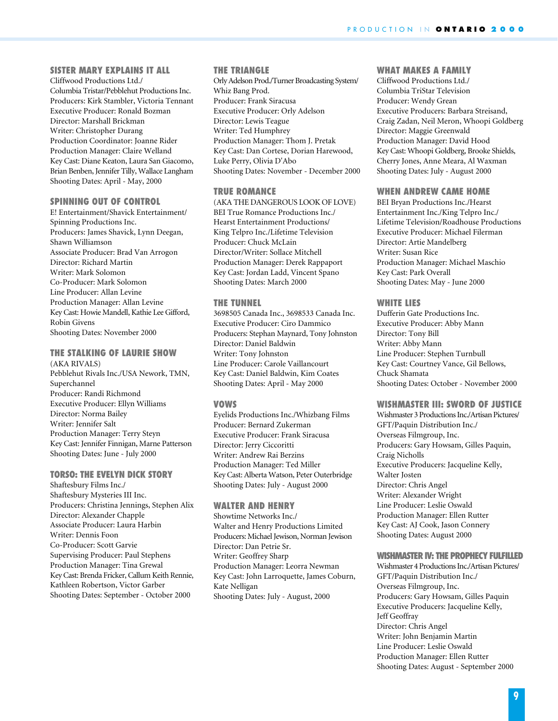## **SISTER MARY EXPLAINS IT ALL**

Cliffwood Productions Ltd./ Columbia Tristar/Pebblehut Productions Inc. Producers: Kirk Stambler, Victoria Tennant Executive Producer: Ronald Bozman Director: Marshall Brickman Writer: Christopher Durang Production Coordinator: Joanne Rider Production Manager: Claire Welland Key Cast: Diane Keaton, Laura San Giacomo, Brian Benben, Jennifer Tilly, Wallace Langham Shooting Dates: April - May, 2000

#### **SPINNING OUT OF CONTROL**

E! Entertainment/Shavick Entertainment/ Spinning Productions Inc. Producers: James Shavick, Lynn Deegan, Shawn Williamson Associate Producer: Brad Van Arrogon Director: Richard Martin Writer: Mark Solomon Co-Producer: Mark Solomon Line Producer: Allan Levine Production Manager: Allan Levine Key Cast: Howie Mandell, Kathie Lee Gifford, Robin Givens Shooting Dates: November 2000

#### **THE STALKING OF LAURIE SHOW**  (AKA RIVALS)

Pebblehut Rivals Inc./USA Nework, TMN, Superchannel Producer: Randi Richmond Executive Producer: Ellyn Williams Director: Norma Bailey Writer: Jennifer Salt Production Manager: Terry Steyn Key Cast: Jennifer Finnigan, Marne Patterson Shooting Dates: June - July 2000

#### **TORSO: THE EVELYN DICK STORY**

Shaftesbury Films Inc./ Shaftesbury Mysteries III Inc. Producers: Christina Jennings, Stephen Alix Director: Alexander Chapple Associate Producer: Laura Harbin Writer: Dennis Foon Co-Producer: Scott Garvie Supervising Producer: Paul Stephens Production Manager: Tina Grewal Key Cast: Brenda Fricker, Callum Keith Rennie, Kathleen Robertson, Victor Garber Shooting Dates: September - October 2000

#### **THE TRIANGLE**

Orly Adelson Prod./Turner Broadcasting System/ Whiz Bang Prod. Producer: Frank Siracusa Executive Producer: Orly Adelson Director: Lewis Teague Writer: Ted Humphrey Production Manager: Thom J. Pretak Key Cast: Dan Cortese, Dorian Harewood, Luke Perry, Olivia D'Abo Shooting Dates: November - December 2000

#### **TRUE ROMANCE**

(AKA THE DANGEROUS LOOK OF LOVE) BEI True Romance Productions Inc./ Hearst Entertainment Productions/ King Telpro Inc./Lifetime Television Producer: Chuck McLain Director/Writer: Sollace Mitchell Production Manager: Derek Rappaport Key Cast: Jordan Ladd, Vincent Spano Shooting Dates: March 2000

#### **THE TUNNEL**

3698505 Canada Inc., 3698533 Canada Inc. Executive Producer: Ciro Dammico Producers: Stephan Maynard, Tony Johnston Director: Daniel Baldwin Writer: Tony Johnston Line Producer: Carole Vaillancourt Key Cast: Daniel Baldwin, Kim Coates Shooting Dates: April - May 2000

#### **VOWS**

Eyelids Productions Inc./Whizbang Films Producer: Bernard Zukerman Executive Producer: Frank Siracusa Director: Jerry Ciccoritti Writer: Andrew Rai Berzins Production Manager: Ted Miller Key Cast: Alberta Watson, Peter Outerbridge Shooting Dates: July - August 2000

#### **WALTER AND HENRY**

Showtime Networks Inc./ Walter and Henry Productions Limited Producers: Michael Jewison, Norman Jewison Director: Dan Petrie Sr. Writer: Geoffrey Sharp Production Manager: Leorra Newman Key Cast: John Larroquette, James Coburn, Kate Nelligan Shooting Dates: July - August, 2000

#### **WHAT MAKES A FAMILY**

Cliffwood Productions Ltd./ Columbia TriStar Television Producer: Wendy Grean Executive Producers: Barbara Streisand, Craig Zadan, Neil Meron, Whoopi Goldberg Director: Maggie Greenwald Production Manager: David Hood Key Cast: Whoopi Goldberg, Brooke Shields, Cherry Jones, Anne Meara, Al Waxman Shooting Dates: July - August 2000

#### **WHEN ANDREW CAME HOME**

BEI Bryan Productions Inc./Hearst Entertainment Inc./King Telpro Inc./ Lifetime Television/Roadhouse Productions Executive Producer: Michael Filerman Director: Artie Mandelberg Writer: Susan Rice Production Manager: Michael Maschio Key Cast: Park Overall Shooting Dates: May - June 2000

#### **WHITE LIES**

Dufferin Gate Productions Inc. Executive Producer: Abby Mann Director: Tony Bill Writer: Abby Mann Line Producer: Stephen Turnbull Key Cast: Courtney Vance, Gil Bellows, Chuck Shamata Shooting Dates: October - November 2000

#### **WISHMASTER III: SWORD OF JUSTICE**

Wishmaster 3 Productions Inc./Artisan Pictures/ GFT/Paquin Distribution Inc./ Overseas Filmgroup, Inc. Producers: Gary Howsam, Gilles Paquin, Craig Nicholls Executive Producers: Jacqueline Kelly, Walter Josten Director: Chris Angel Writer: Alexander Wright Line Producer: Leslie Oswald Production Manager: Ellen Rutter Key Cast: AJ Cook, Jason Connery Shooting Dates: August 2000

#### **WISHMASTER IV: THE PROPHECY FULFILLED**

Wishmaster 4 Productions Inc./Artisan Pictures/ GFT/Paquin Distribution Inc./ Overseas Filmgroup, Inc. Producers: Gary Howsam, Gilles Paquin Executive Producers: Jacqueline Kelly, Jeff Geoffray Director: Chris Angel Writer: John Benjamin Martin Line Producer: Leslie Oswald Production Manager: Ellen Rutter Shooting Dates: August - September 2000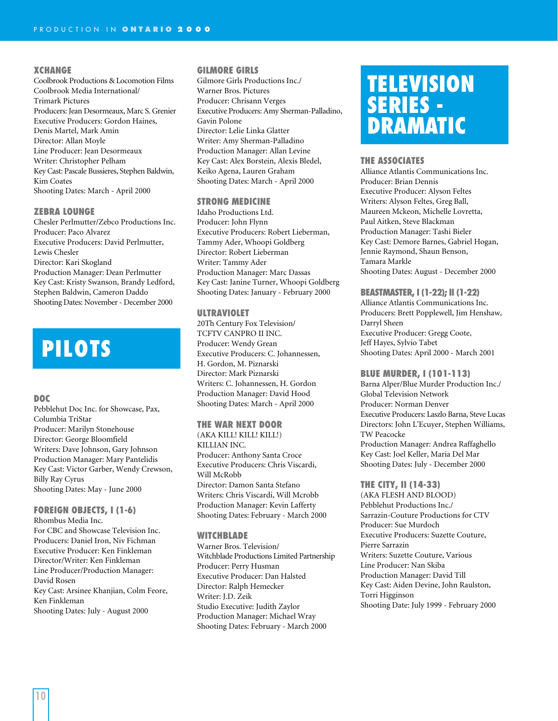#### **XCHANGE**

Coolbrook Productions & Locomotion Films Coolbrook Media International/ Trimark Pictures Producers: Jean Desormeaux, Marc S. Grenier Executive Producers: Gordon Haines, Denis Martel, Mark Amin Director: Allan Moyle Line Producer: Jean Desormeaux Writer: Christopher Pelham Key Cast: Pascale Bussieres, Stephen Baldwin, Kim Coates Shooting Dates: March - April 2000

#### **ZEBRA LOUNGE**

Chesler Perlmutter/Zebco Productions Inc. Producer: Paco Alvarez Executive Producers: David Perlmutter, Lewis Chesler Director: Kari Skogland Production Manager: Dean Perlmutter Key Cast: Kristy Swanson, Brandy Ledford, Stephen Baldwin, Cameron Daddo Shooting Dates: November - December 2000

# **PILOTS**

#### **DOC**

Pebblehut Doc Inc. for Showcase, Pax, Columbia TriStar Producer: Marilyn Stonehouse Director: George Bloomfield Writers: Dave Johnson, Gary Johnson Production Manager: Mary Pantelidis Key Cast: Victor Garber, Wendy Crewson, Billy Ray Cyrus Shooting Dates: May - June 2000

**FOREIGN OBJECTS, I (1-6)** Rhombus Media Inc. For CBC and Showcase Television Inc. Producers: Daniel Iron, Niv Fichman Executive Producer: Ken Finkleman Director/Writer: Ken Finkleman Line Producer/Production Manager: David Rosen Key Cast: Arsinee Khanjian, Colm Feore, Ken Finkleman Shooting Dates: July - August 2000

#### **GILMORE GIRLS**

Gilmore Girls Productions Inc./ Warner Bros. Pictures Producer: Chrisann Verges Executive Producers: Amy Sherman-Palladino, Gavin Polone Director: Lelie Linka Glatter Writer: Amy Sherman-Palladino Production Manager: Allan Levine Key Cast: Alex Borstein, Alexis Bledel, Keiko Agena, Lauren Graham Shooting Dates: March - April 2000

#### **STRONG MEDICINE**

Idaho Productions Ltd. Producer: John Flynn Executive Producers: Robert Lieberman, Tammy Ader, Whoopi Goldberg Director: Robert Lieberman Writer: Tammy Ader Production Manager: Marc Dassas Key Cast: Janine Turner, Whoopi Goldberg Shooting Dates: January - February 2000

#### **ULTRAVIOLET**

20Th Century Fox Television/ TCFTV CANPRO II INC. Producer: Wendy Grean Executive Producers: C. Johannessen, H. Gordon, M. Piznarski Director: Mark Piznarski Writers: C. Johannessen, H. Gordon Production Manager: David Hood Shooting Dates: March - April 2000

#### **THE WAR NEXT DOOR**

(AKA KILL! KILL! KILL!) KILLIAN INC. Producer: Anthony Santa Croce Executive Producers: Chris Viscardi, Will McRobb Director: Damon Santa Stefano Writers: Chris Viscardi, Will Mcrobb Production Manager: Kevin Lafferty Shooting Dates: February - March 2000

#### **WITCHBLADE**

Warner Bros. Television/ Witchblade Productions Limited Partnership Producer: Perry Husman Executive Producer: Dan Halsted Director: Ralph Hemecker Writer: J.D. Zeik Studio Executive: Judith Zaylor Production Manager: Michael Wray Shooting Dates: February - March 2000

# **TELEVISION SERIES - DRAMATIC**

#### **THE ASSOCIATES**

Alliance Atlantis Communications Inc. Producer: Brian Dennis Executive Producer: Alyson Feltes Writers: Alyson Feltes, Greg Ball, Maureen Mckeon, Michelle Lovretta, Paul Aitken, Steve Blackman Production Manager: Tashi Bieler Key Cast: Demore Barnes, Gabriel Hogan, Jennie Raymond, Shaun Benson, Tamara Markle Shooting Dates: August - December 2000

#### **BEASTMASTER, I (1-22); II (1-22)**

Alliance Atlantis Communications Inc. Producers: Brett Popplewell, Jim Henshaw, Darryl Sheen Executive Producer: Gregg Coote, Jeff Hayes, Sylvio Tabet Shooting Dates: April 2000 - March 2001

#### **BLUE MURDER, I (101-113)**

Barna Alper/Blue Murder Production Inc./ Global Television Network Producer: Norman Denver Executive Producers: Laszlo Barna, Steve Lucas Directors: John L'Ecuyer, Stephen Williams, TW Peacocke Production Manager: Andrea Raffaghello Key Cast: Joel Keller, Maria Del Mar Shooting Dates: July - December 2000

#### **THE CITY, II (14-33)**

(AKA FLESH AND BLOOD) Pebblehut Productions Inc./ Sarrazin-Couture Productions for CTV Producer: Sue Murdoch Executive Producers: Suzette Couture, Pierre Sarrazin Writers: Suzette Couture, Various Line Producer: Nan Skiba Production Manager: David Till Key Cast: Aiden Devine, John Raulston, Torri Higginson Shooting Date: July 1999 - February 2000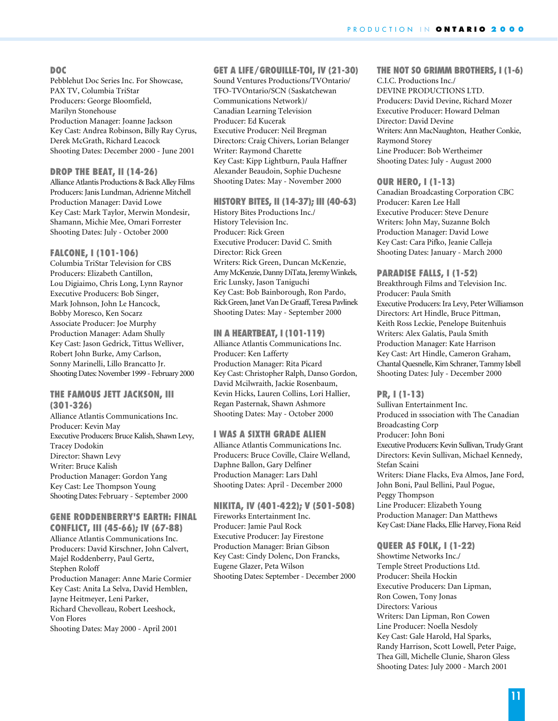#### **DOC**

Pebblehut Doc Series Inc. For Showcase, PAX TV, Columbia TriStar Producers: George Bloomfield, Marilyn Stonehouse Production Manager: Joanne Jackson Key Cast: Andrea Robinson, Billy Ray Cyrus, Derek McGrath, Richard Leacock Shooting Dates: December 2000 - June 2001

#### **DROP THE BEAT, II (14-26)**

Alliance Atlantis Productions & Back Alley Films Producers: Janis Lundman, Adrienne Mitchell Production Manager: David Lowe Key Cast: Mark Taylor, Merwin Mondesir, Shamann, Michie Mee, Omari Forrester Shooting Dates: July - October 2000

#### **FALCONE, I (101-106)**

Columbia TriStar Television for CBS Producers: Elizabeth Cantillon, Lou Digiaimo, Chris Long, Lynn Raynor Executive Producers: Bob Singer, Mark Johnson, John Le Hancock, Bobby Moresco, Ken Socarz Associate Producer: Joe Murphy Production Manager: Adam Shully Key Cast: Jason Gedrick, Tittus Welliver, Robert John Burke, Amy Carlson, Sonny Marinelli, Lillo Brancatto Jr. Shooting Dates: November 1999 - February 2000

#### **THE FAMOUS JETT JACKSON, III (301-326)**

Alliance Atlantis Communications Inc. Producer: Kevin May Executive Producers: Bruce Kalish, Shawn Levy, Tracey Dodokin Director: Shawn Levy Writer: Bruce Kalish Production Manager: Gordon Yang Key Cast: Lee Thompson Young Shooting Dates: February - September 2000

#### **GENE RODDENBERRY'S EARTH: FINAL**

**CONFLICT, III (45-66); IV (67-88)** Alliance Atlantis Communications Inc. Producers: David Kirschner, John Calvert, Majel Roddenberry, Paul Gertz, Stephen Roloff Production Manager: Anne Marie Cormier Key Cast: Anita La Selva, David Hemblen, Jayne Heitmeyer, Leni Parker, Richard Chevolleau, Robert Leeshock, Von Flores Shooting Dates: May 2000 - April 2001

## **GET A LIFE/GROUILLE-TOI, IV (21-30)**

Sound Ventures Productions/TVOntario/ TFO-TVOntario/SCN (Saskatchewan Communications Network)/ Canadian Learning Television Producer: Ed Kucerak Executive Producer: Neil Bregman Directors: Craig Chivers, Lorian Belanger Writer: Raymond Charette Key Cast: Kipp Lightburn, Paula Haffner Alexander Beaudoin, Sophie Duchesne Shooting Dates: May - November 2000

#### **HISTORY BITES, II (14-37); III (40-63)**

History Bites Productions Inc./ History Television Inc. Producer: Rick Green Executive Producer: David C. Smith Director: Rick Green Writers: Rick Green, Duncan McKenzie, Amy McKenzie, Danny DiTata, Jeremy Winkels, Eric Lunsky, Jason Taniguchi Key Cast: Bob Bainborough, Ron Pardo, Rick Green, Janet Van De Graaff, Teresa Pavlinek Shooting Dates: May - September 2000

#### **IN A HEARTBEAT, I (101-119)**

Alliance Atlantis Communications Inc. Producer: Ken Lafferty Production Manager: Rita Picard Key Cast: Christopher Ralph, Danso Gordon, David Mcilwraith, Jackie Rosenbaum, Kevin Hicks, Lauren Collins, Lori Hallier, Regan Pasternak, Shawn Ashmore Shooting Dates: May - October 2000

#### **I WAS A SIXTH GRADE ALIEN**

Alliance Atlantis Communications Inc. Producers: Bruce Coville, Claire Welland, Daphne Ballon, Gary Delfiner Production Manager: Lars Dahl Shooting Dates: April - December 2000

**NIKITA, IV (401-422); V (501-508)** Fireworks Entertainment Inc. Producer: Jamie Paul Rock Executive Producer: Jay Firestone Production Manager: Brian Gibson Key Cast: Cindy Dolenc, Don Francks, Eugene Glazer, Peta Wilson Shooting Dates: September - December 2000

# **THE NOT SO GRIMM BROTHERS, I (1-6)**

C.I.C. Productions Inc./ DEVINE PRODUCTIONS LTD. Producers: David Devine, Richard Mozer Executive Producer: Howard Delman Director: David Devine Writers: Ann MacNaughton, Heather Conkie, Raymond Storey Line Producer: Bob Wertheimer Shooting Dates: July - August 2000

#### **OUR HERO, I (1-13)**

Canadian Broadcasting Corporation CBC Producer: Karen Lee Hall Executive Producer: Steve Denure Writers: John May, Suzanne Bolch Production Manager: David Lowe Key Cast: Cara Pifko, Jeanie Calleja Shooting Dates: January - March 2000

#### **PARADISE FALLS, I (1-52)**

Breakthrough Films and Television Inc. Producer: Paula Smith Executive Producers: Ira Levy, Peter Williamson Directors: Art Hindle, Bruce Pittman, Keith Ross Leckie, Penelope Buitenhuis Writers: Alex Galatis, Paula Smith Production Manager: Kate Harrison Key Cast: Art Hindle, Cameron Graham, Chantal Quesnelle, Kim Schraner, Tammy Isbell Shooting Dates: July - December 2000

#### **PR, I (1-13)**

Sullivan Entertainment Inc. Produced in sssociation with The Canadian Broadcasting Corp Producer: John Boni Executive Producers: Kevin Sullivan, Trudy Grant Directors: Kevin Sullivan, Michael Kennedy, Stefan Scaini Writers: Diane Flacks, Eva Almos, Jane Ford, John Boni, Paul Bellini, Paul Pogue, Peggy Thompson Line Producer: Elizabeth Young Production Manager: Dan Matthews Key Cast: Diane Flacks, Ellie Harvey, Fiona Reid

#### **QUEER AS FOLK, I (1-22)**

Showtime Networks Inc./ Temple Street Productions Ltd. Producer: Sheila Hockin Executive Producers: Dan Lipman, Ron Cowen, Tony Jonas Directors: Various Writers: Dan Lipman, Ron Cowen Line Producer: Noella Nesdoly Key Cast: Gale Harold, Hal Sparks, Randy Harrison, Scott Lowell, Peter Paige, Thea Gill, Michelle Clunie, Sharon Gless Shooting Dates: July 2000 - March 2001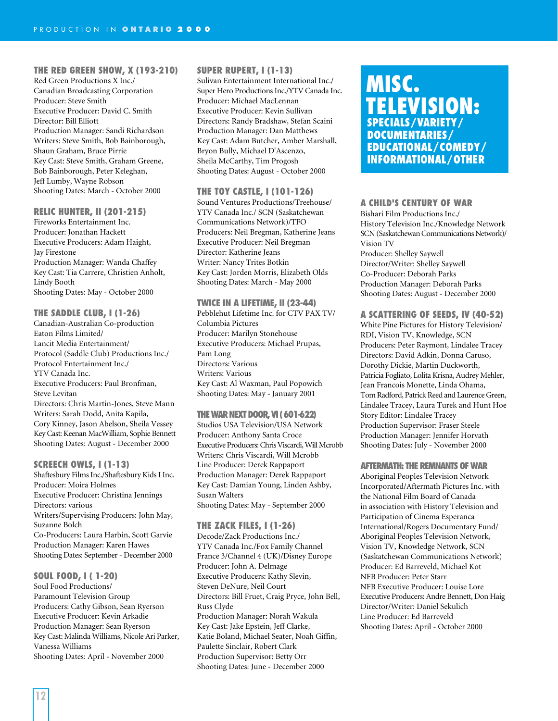## **THE RED GREEN SHOW, X (193-210)**

Red Green Productions X Inc./ Canadian Broadcasting Corporation Producer: Steve Smith Executive Producer: David C. Smith Director: Bill Elliott Production Manager: Sandi Richardson Writers: Steve Smith, Bob Bainborough, Shaun Graham, Bruce Pirrie Key Cast: Steve Smith, Graham Greene, Bob Bainborough, Peter Keleghan, Jeff Lumby, Wayne Robson Shooting Dates: March - October 2000

#### **RELIC HUNTER, II (201-215)**

Fireworks Entertainment Inc. Producer: Jonathan Hackett Executive Producers: Adam Haight, Jay Firestone Production Manager: Wanda Chaffey Key Cast: Tia Carrere, Christien Anholt, Lindy Booth Shooting Dates: May - October 2000

#### **THE SADDLE CLUB, I (1-26)**

Canadian-Australian Co-production Eaton Films Limited/ Lancit Media Entertainment/ Protocol (Saddle Club) Productions Inc./ Protocol Entertainment Inc./ YTV Canada Inc. Executive Producers: Paul Bronfman, Steve Levitan Directors: Chris Martin-Jones, Steve Mann Writers: Sarah Dodd, Anita Kapila, Cory Kinney, Jason Abelson, Sheila Vessey Key Cast: Keenan MacWilliam, Sophie Bennett Shooting Dates: August - December 2000

#### **SCREECH OWLS, I (1-13)**

Shaftesbury Films Inc./Shaftesbury Kids I Inc. Producer: Moira Holmes Executive Producer: Christina Jennings Directors: various Writers/Supervising Producers: John May, Suzanne Bolch Co-Producers: Laura Harbin, Scott Garvie Production Manager: Karen Hawes Shooting Dates: September - December 2000

#### **SOUL FOOD, I ( 1-20)**

Soul Food Productions/ Paramount Television Group Producers: Cathy Gibson, Sean Ryerson Executive Producer: Kevin Arkadie Production Manager: Sean Ryerson Key Cast: Malinda Williams, Nicole Ari Parker, Vanessa Williams Shooting Dates: April - November 2000

#### **SUPER RUPERT, I (1-13)**

Sulivan Entertainment International Inc./ Super Hero Productions Inc./YTV Canada Inc. Producer: Michael MacLennan Executive Producer: Kevin Sullivan Directors: Randy Bradshaw, Stefan Scaini Production Manager: Dan Matthews Key Cast: Adam Butcher, Amber Marshall, Bryon Bully, Michael D'Ascenzo, Sheila McCarthy, Tim Progosh Shooting Dates: August - October 2000

#### **THE TOY CASTLE, I (101-126)**

Sound Ventures Productions/Treehouse/ YTV Canada Inc./ SCN (Saskatchewan Communications Network)/TFO Producers: Neil Bregman, Katherine Jeans Executive Producer: Neil Bregman Director: Katherine Jeans Writer: Nancy Trites Botkin Key Cast: Jorden Morris, Elizabeth Olds Shooting Dates: March - May 2000

#### **TWICE IN A LIFETIME, II (23-44)**

Pebblehut Lifetime Inc. for CTV PAX TV/ Columbia Pictures Producer: Marilyn Stonehouse Executive Producers: Michael Prupas, Pam Long Directors: Various Writers: Various Key Cast: Al Waxman, Paul Popowich Shooting Dates: May - January 2001

#### **THE WAR NEXT DOOR, VI ( 601-622)**

Studios USA Television/USA Network Producer: Anthony Santa Croce Executive Producers: Chris Viscardi, Will Mcrobb Writers: Chris Viscardi, Will Mcrobb Line Producer: Derek Rappaport Production Manager: Derek Rappaport Key Cast: Damian Young, Linden Ashby, Susan Walters Shooting Dates: May - September 2000

#### **THE ZACK FILES, I (1-26)**

Decode/Zack Productions Inc./ YTV Canada Inc./Fox Family Channel France 3/Channel 4 (UK)/Disney Europe Producer: John A. Delmage Executive Producers: Kathy Slevin, Steven DeNure, Neil Court Directors: Bill Fruet, Craig Pryce, John Bell, Russ Clyde Production Manager: Norah Wakula Key Cast: Jake Epstein, Jeff Clarke, Katie Boland, Michael Seater, Noah Giffin, Paulette Sinclair, Robert Clark Production Supervisor: Betty Orr Shooting Dates: June - December 2000

# **MISC. TELEVISION: SPECIALS/VARIETY/ DOCUMENTARIES/ EDUCATIONAL/COMEDY/ INFORMATIONAL/OTHER**

#### **A CHILD'S CENTURY OF WAR**

Bishari Film Productions Inc./ History Television Inc./Knowledge Network SCN (Saskatchewan Communications Network)/ Vision TV Producer: Shelley Saywell Director/Writer: Shelley Saywell Co-Producer: Deborah Parks Production Manager: Deborah Parks Shooting Dates: August - December 2000

#### **A SCATTERING OF SEEDS, IV (40-52)**

White Pine Pictures for History Television/ RDI, Vision TV, Knowledge, SCN Producers: Peter Raymont, Lindalee Tracey Directors: David Adkin, Donna Caruso, Dorothy Dickie, Martin Duckworth, Patricia Fogliato, Lolita Krisna, Audrey Mehler, Jean Francois Monette, Linda Ohama, Tom Radford, Patrick Reed and Laurence Green, Lindalee Tracey, Laura Turek and Hunt Hoe Story Editor: Lindalee Tracey Production Supervisor: Fraser Steele Production Manager: Jennifer Horvath Shooting Dates: July - November 2000

#### **AFTERMATH: THE REMNANTS OF WAR**

Aboriginal Peoples Television Network Incorporated/Aftermath Pictures Inc. with the National Film Board of Canada in association with History Television and Participation of Cinema Esperanca International/Rogers Documentary Fund/ Aboriginal Peoples Television Network, Vision TV, Knowledge Network, SCN (Saskatchewan Communications Network) Producer: Ed Barreveld, Michael Kot NFB Producer: Peter Starr NFB Executive Producer: Louise Lore Executive Producers: Andre Bennett, Don Haig Director/Writer: Daniel Sekulich Line Producer: Ed Barreveld Shooting Dates: April - October 2000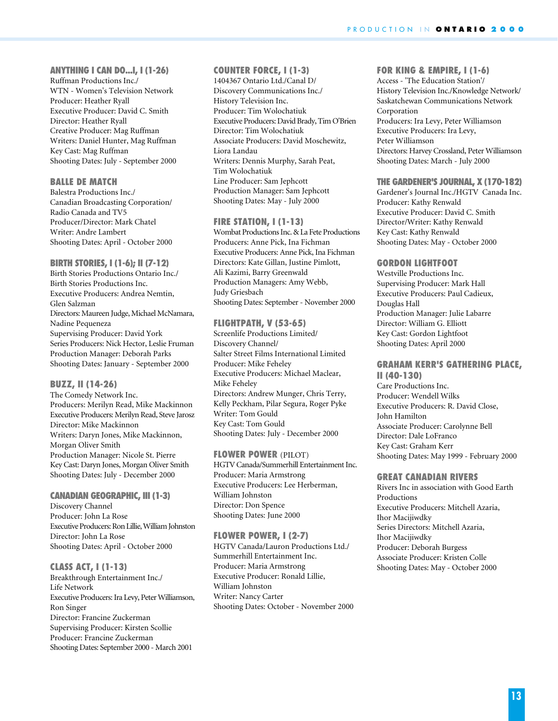#### **ANYTHING I CAN DO...I, I (1-26)**

Ruffman Productions Inc./ WTN - Women's Television Network Producer: Heather Ryall Executive Producer: David C. Smith Director: Heather Ryall Creative Producer: Mag Ruffman Writers: Daniel Hunter, Mag Ruffman Key Cast: Mag Ruffman Shooting Dates: July - September 2000

#### **BALLE DE MATCH**

Balestra Productions Inc./ Canadian Broadcasting Corporation/ Radio Canada and TV5 Producer/Director: Mark Chatel Writer: Andre Lambert Shooting Dates: April - October 2000

#### **BIRTH STORIES, I (1-6); II (7-12)**

Birth Stories Productions Ontario Inc./ Birth Stories Productions Inc. Executive Producers: Andrea Nemtin, Glen Salzman Directors: Maureen Judge, Michael McNamara, Nadine Pequeneza Supervising Producer: David York Series Producers: Nick Hector, Leslie Fruman Production Manager: Deborah Parks Shooting Dates: January - September 2000

#### **BUZZ, II (14-26)**

The Comedy Network Inc. Producers: Merilyn Read, Mike Mackinnon Executive Producers: Merilyn Read, Steve Jarosz Director: Mike Mackinnon Writers: Daryn Jones, Mike Mackinnon, Morgan Oliver Smith Production Manager: Nicole St. Pierre Key Cast: Daryn Jones, Morgan Oliver Smith Shooting Dates: July - December 2000

#### **CANADIAN GEOGRAPHIC, III (1-3)**

Discovery Channel Producer: John La Rose Executive Producers: Ron Lillie, William Johnston Director: John La Rose Shooting Dates: April - October 2000

#### **CLASS ACT, I (1-13)**

Breakthrough Entertainment Inc./ Life Network Executive Producers: Ira Levy, Peter Williamson, Ron Singer Director: Francine Zuckerman Supervising Producer: Kirsten Scollie Producer: Francine Zuckerman Shooting Dates: September 2000 - March 2001

## **COUNTER FORCE, I (1-3)**

1404367 Ontario Ltd./Canal D/ Discovery Communications Inc./ History Television Inc. Producer: Tim Wolochatiuk Executive Producers: David Brady, Tim O'Brien Director: Tim Wolochatiuk Associate Producers: David Moschewitz, Liora Landau Writers: Dennis Murphy, Sarah Peat, Tim Wolochatiuk Line Producer: Sam Jephcott Production Manager: Sam Jephcott Shooting Dates: May - July 2000

#### **FIRE STATION, I (1-13)**

Wombat Productions Inc. & La Fete Productions Producers: Anne Pick, Ina Fichman Executive Producers: Anne Pick, Ina Fichman Directors: Kate Gillan, Justine Pimlott, Ali Kazimi, Barry Greenwald Production Managers: Amy Webb, Judy Griesbach Shooting Dates: September - November 2000

#### **FLIGHTPATH, V (53-65)**

Screenlife Productions Limited/ Discovery Channel/ Salter Street Films International Limited Producer: Mike Feheley Executive Producers: Michael Maclear, Mike Feheley Directors: Andrew Munger, Chris Terry, Kelly Peckham, Pilar Segura, Roger Pyke Writer: Tom Gould Key Cast: Tom Gould Shooting Dates: July - December 2000

#### **FLOWER POWER** (PILOT)

HGTV Canada/Summerhill Entertainment Inc. Producer: Maria Armstrong Executive Producers: Lee Herberman, William Johnston Director: Don Spence Shooting Dates: June 2000

#### **FLOWER POWER, I (2-7)**

HGTV Canada/Lauron Productions Ltd./ Summerhill Entertainment Inc. Producer: Maria Armstrong Executive Producer: Ronald Lillie, William Johnston Writer: Nancy Carter Shooting Dates: October - November 2000

#### **FOR KING & EMPIRE, I (1-6)**

Access - 'The Education Station'/ History Television Inc./Knowledge Network/ Saskatchewan Communications Network Corporation Producers: Ira Levy, Peter Williamson Executive Producers: Ira Levy, Peter Williamson Directors: Harvey Crossland, Peter Williamson Shooting Dates: March - July 2000

#### **THE GARDENER'S JOURNAL, X (170-182)**

Gardener's Journal Inc./HGTV Canada Inc. Producer: Kathy Renwald Executive Producer: David C. Smith Director/Writer: Kathy Renwald Key Cast: Kathy Renwald Shooting Dates: May - October 2000

#### **GORDON LIGHTFOOT**

Westville Productions Inc. Supervising Producer: Mark Hall Executive Producers: Paul Cadieux, Douglas Hall Production Manager: Julie Labarre Director: William G. Elliott Key Cast: Gordon Lightfoot Shooting Dates: April 2000

#### **GRAHAM KERR'S GATHERING PLACE, II (40-130)**

Care Productions Inc. Producer: Wendell Wilks Executive Producers: R. David Close, John Hamilton Associate Producer: Carolynne Bell Director: Dale LoFranco Key Cast: Graham Kerr Shooting Dates: May 1999 - February 2000

#### **GREAT CANADIAN RIVERS**

Rivers Inc in association with Good Earth Productions Executive Producers: Mitchell Azaria, Ihor Macijiwdky Series Directors: Mitchell Azaria, Ihor Macijiwdky Producer: Deborah Burgess Associate Producer: Kristen Colle Shooting Dates: May - October 2000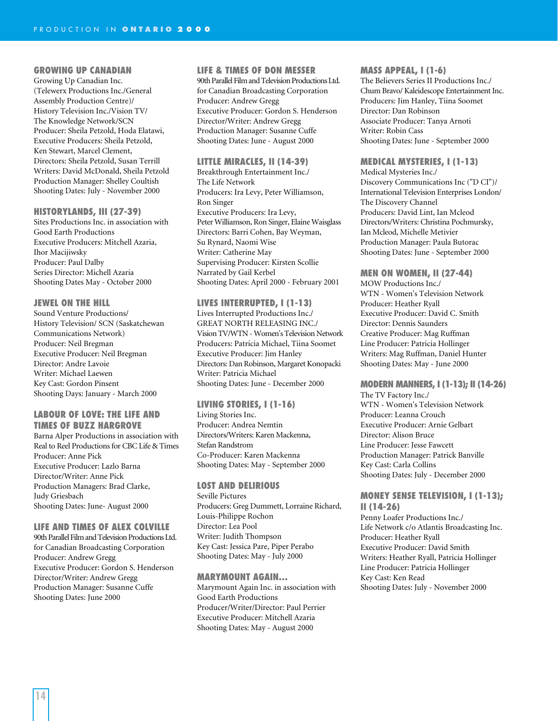#### **GROWING UP CANADIAN**

Growing Up Canadian Inc. (Telewerx Productions Inc./General Assembly Production Centre)/ History Television Inc./Vision TV/ The Knowledge Network/SCN Producer: Sheila Petzold, Hoda Elatawi, Executive Producers: Sheila Petzold, Ken Stewart, Marcel Clement, Directors: Sheila Petzold, Susan Terrill Writers: David McDonald, Sheila Petzold Production Manager: Shelley Coultish Shooting Dates: July - November 2000

#### **HISTORYLANDS, III (27-39)**

Sites Productions Inc. in association with Good Earth Productions Executive Producers: Mitchell Azaria, Ihor Macijiwsky Producer: Paul Dalby Series Director: Michell Azaria Shooting Dates May - October 2000

#### **JEWEL ON THE HILL**

Sound Venture Productions/ History Television/ SCN (Saskatchewan Communications Network) Producer: Neil Bregman Executive Producer: Neil Bregman Director: Andre Lavoie Writer: Michael Laewen Key Cast: Gordon Pinsent Shooting Days: January - March 2000

#### **LABOUR OF LOVE: THE LIFE AND TIMES OF BUZZ HARGROVE**

Barna Alper Productions in association with Real to Reel Productions for CBC Life & Times Producer: Anne Pick Executive Producer: Lazlo Barna Director/Writer: Anne Pick Production Managers: Brad Clarke, Judy Griesbach Shooting Dates: June- August 2000

#### **LIFE AND TIMES OF ALEX COLVILLE**

90th Parallel Film and Television Productions Ltd. for Canadian Broadcasting Corporation Producer: Andrew Gregg Executive Producer: Gordon S. Henderson Director/Writer: Andrew Gregg Production Manager: Susanne Cuffe Shooting Dates: June 2000

#### **LIFE & TIMES OF DON MESSER**

90th Parallel Film and Television Productions Ltd. for Canadian Broadcasting Corporation Producer: Andrew Gregg Executive Producer: Gordon S. Henderson Director/Writer: Andrew Gregg Production Manager: Susanne Cuffe Shooting Dates: June - August 2000

#### **LITTLE MIRACLES, II (14-39)**

Breakthrough Entertainment Inc./ The Life Network Producers: Ira Levy, Peter Williamson, Ron Singer Executive Producers: Ira Levy, Peter Williamson, Ron Singer, Elaine Waisglass Directors: Barri Cohen, Bay Weyman, Su Rynard, Naomi Wise Writer: Catherine May Supervising Producer: Kirsten Scollie Narrated by Gail Kerbel Shooting Dates: April 2000 - February 2001

#### **LIVES INTERRUPTED, I (1-13)**

Lives Interrupted Productions Inc./ GREAT NORTH RELEASING INC./ Vision TV/WTN - Women's Television Network Producers: Patricia Michael, Tiina Soomet Executive Producer: Jim Hanley Directors: Dan Robinson, Margaret Konopacki Writer: Patricia Michael Shooting Dates: June - December 2000

#### **LIVING STORIES, I (1-16)**

Living Stories Inc. Producer: Andrea Nemtin Directors/Writers: Karen Mackenna, Stefan Randstrom Co-Producer: Karen Mackenna Shooting Dates: May - September 2000

#### **LOST AND DELIRIOUS**

Seville Pictures Producers: Greg Dummett, Lorraine Richard, Louis-Philippe Rochon Director: Lea Pool Writer: Judith Thompson Key Cast: Jessica Pare, Piper Perabo Shooting Dates: May - July 2000

#### **MARYMOUNT AGAIN…**

Marymount Again Inc. in association with Good Earth Productions Producer/Writer/Director: Paul Perrier Executive Producer: Mitchell Azaria Shooting Dates: May - August 2000

#### **MASS APPEAL, I (1-6)**

The Believers Series II Productions Inc./ Chum Bravo/ Kaleidescope Entertainment Inc. Producers: Jim Hanley, Tiina Soomet Director: Dan Robinson Associate Producer: Tanya Arnoti Writer: Robin Cass Shooting Dates: June - September 2000

#### **MEDICAL MYSTERIES, I (1-13)**

Medical Mysteries Inc./ Discovery Communications Inc ("D CI")/ International Television Enterprises London/ The Discovery Channel Producers: David Lint, Ian Mcleod Directors/Writers: Christina Pochmursky, Ian Mcleod, Michelle Metivier Production Manager: Paula Butorac Shooting Dates: June - September 2000

#### **MEN ON WOMEN, II (27-44)**

MOW Productions Inc./ WTN - Women's Television Network Producer: Heather Ryall Executive Producer: David C. Smith Director: Dennis Saunders Creative Producer: Mag Ruffman Line Producer: Patricia Hollinger Writers: Mag Ruffman, Daniel Hunter Shooting Dates: May - June 2000

#### **MODERN MANNERS, I (1-13); II (14-26)**

The TV Factory Inc./ WTN - Women's Television Network Producer: Leanna Crouch Executive Producer: Arnie Gelbart Director: Alison Bruce Line Producer: Jesse Fawcett Production Manager: Patrick Banville Key Cast: Carla Collins Shooting Dates: July - December 2000

#### **MONEY SENSE TELEVISION, I (1-13); II (14-26)**

Penny Loafer Productions Inc./ Life Network c/o Atlantis Broadcasting Inc. Producer: Heather Ryall Executive Producer: David Smith Writers: Heather Ryall, Patricia Hollinger Line Producer: Patricia Hollinger Key Cast: Ken Read Shooting Dates: July - November 2000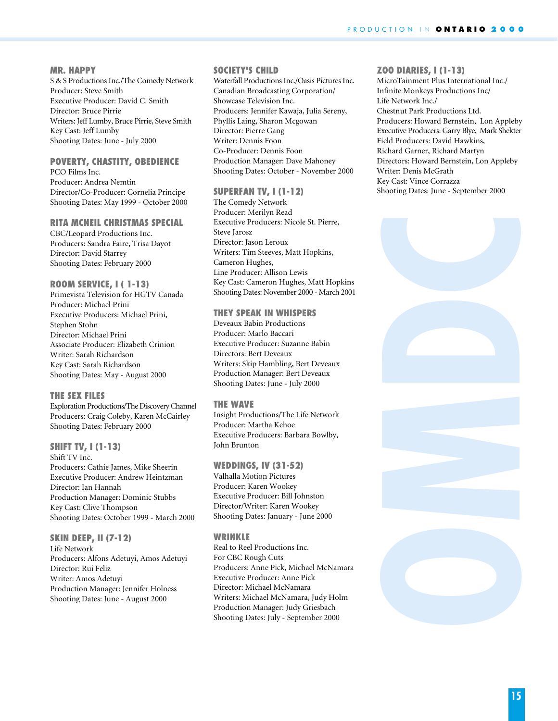#### **MR. HAPPY**

S & S Productions Inc./The Comedy Network Producer: Steve Smith Executive Producer: David C. Smith Director: Bruce Pirrie Writers: Jeff Lumby, Bruce Pirrie, Steve Smith Key Cast: Jeff Lumby Shooting Dates: June - July 2000

# **POVERTY, CHASTITY, OBEDIENCE**

PCO Films Inc. Producer: Andrea Nemtin Director/Co-Producer: Cornelia Principe Shooting Dates: May 1999 - October 2000

#### **RITA MCNEIL CHRISTMAS SPECIAL**

CBC/Leopard Productions Inc. Producers: Sandra Faire, Trisa Dayot Director: David Starrey Shooting Dates: February 2000

#### **ROOM SERVICE, I ( 1-13)**

Primevista Television for HGTV Canada Producer: Michael Prini Executive Producers: Michael Prini, Stephen Stohn Director: Michael Prini Associate Producer: Elizabeth Crinion Writer: Sarah Richardson Key Cast: Sarah Richardson Shooting Dates: May - August 2000

#### **THE SEX FILES**

Exploration Productions/The Discovery Channel Producers: Craig Coleby, Karen McCairley Shooting Dates: February 2000

**SHIFT TV, I (1-13)** Shift TV Inc. Producers: Cathie James, Mike Sheerin Executive Producer: Andrew Heintzman Director: Ian Hannah Production Manager: Dominic Stubbs Key Cast: Clive Thompson Shooting Dates: October 1999 - March 2000

#### **SKIN DEEP, II (7-12)**

Life Network Producers: Alfons Adetuyi, Amos Adetuyi Director: Rui Feliz Writer: Amos Adetuyi Production Manager: Jennifer Holness Shooting Dates: June - August 2000

## **SOCIETY'S CHILD**

Waterfall Productions Inc./Oasis Pictures Inc. Canadian Broadcasting Corporation/ Showcase Television Inc. Producers: Jennifer Kawaja, Julia Sereny, Phyllis Laing, Sharon Mcgowan Director: Pierre Gang Writer: Dennis Foon Co-Producer: Dennis Foon Production Manager: Dave Mahoney Shooting Dates: October - November 2000

#### **SUPERFAN TV, I (1-12)**

The Comedy Network Producer: Merilyn Read Executive Producers: Nicole St. Pierre, Steve Jarosz Director: Jason Leroux Writers: Tim Steeves, Matt Hopkins, Cameron Hughes, Line Producer: Allison Lewis Key Cast: Cameron Hughes, Matt Hopkins Shooting Dates: November 2000 - March 2001

#### **THEY SPEAK IN WHISPERS**

Deveaux Babin Productions Producer: Marlo Baccari Executive Producer: Suzanne Babin Directors: Bert Deveaux Writers: Skip Hambling, Bert Deveaux Production Manager: Bert Deveaux Shooting Dates: June - July 2000

#### **THE WAVE**

Insight Productions/The Life Network Producer: Martha Kehoe Executive Producers: Barbara Bowlby, John Brunton

#### **WEDDINGS, IV (31-52)**

Valhalla Motion Pictures Producer: Karen Wookey Executive Producer: Bill Johnston Director/Writer: Karen Wookey Shooting Dates: January - June 2000

#### **WRINKLE**

Real to Reel Productions Inc. For CBC Rough Cuts Producers: Anne Pick, Michael McNamara Executive Producer: Anne Pick Director: Michael McNamara Writers: Michael McNamara, Judy Holm Production Manager: Judy Griesbach Shooting Dates: July - September 2000

#### **ZOO DIARIES, I (1-13)**

MicroTainment Plus International Inc./ Infinite Monkeys Productions Inc/ Life Network Inc./ Chestnut Park Productions Ltd. Producers: Howard Bernstein, Lon Appleby Executive Producers: Garry Blye, Mark Shekter Field Producers: David Hawkins, Richard Garner, Richard Martyn Directors: Howard Bernstein, Lon Appleby Writer: Denis McGrath Key Cast: Vince Corrazza Shooting Dates: June - September 2000